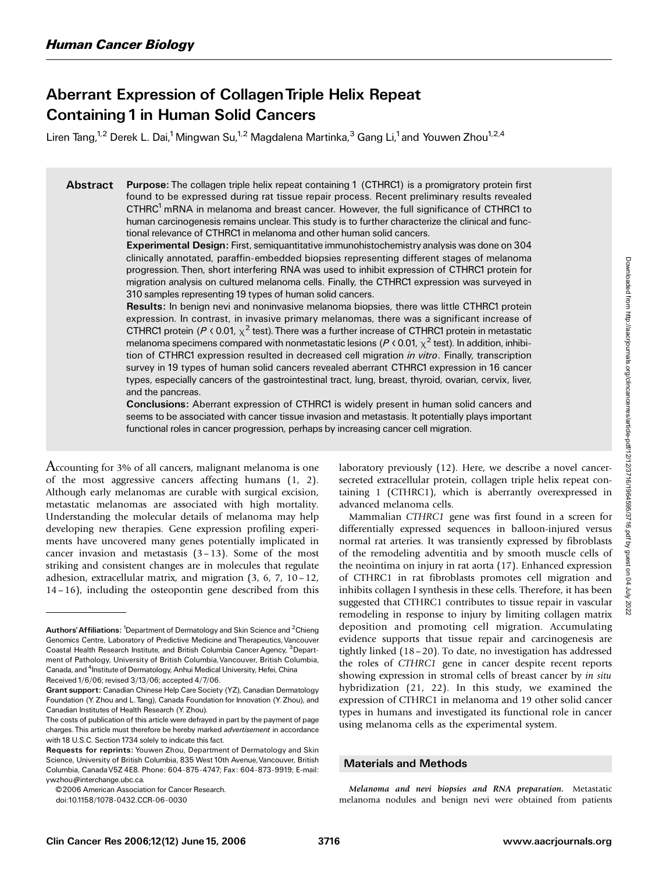# Aberrant Expression of CollagenTriple Helix Repeat Containing 1 in Human Solid Cancers

Liren Tang,<sup>1,2</sup> Derek L. Dai,<sup>1</sup> Mingwan Su,<sup>1,2</sup> Magdalena Martinka,<sup>3</sup> Gang Li,<sup>1</sup> and Youwen Zhou<sup>1,2,4</sup>

Abstract Purpose: The collagen triple helix repeat containing 1 (CTHRC1) is a promigratory protein first found to be expressed during rat tissue repair process. Recent preliminary results revealed CTHRC<sup>1</sup> mRNA in melanoma and breast cancer. However, the full significance of CTHRC1 to human carcinogenesis remains unclear. This study is to further characterize the clinical and functional relevance of CTHRC1 in melanoma and other human solid cancers.

> Experimental Design: First, semiquantitative immunohistochemistry analysis was done on 304 clinically annotated, paraffin-embedded biopsies representing different stages of melanoma progression. Then, short interfering RNA was used to inhibit expression of CTHRC1 protein for migration analysis on cultured melanoma cells. Finally, the CTHRC1 expression was surveyed in 310 samples representing 19 types of human solid cancers.

> Results: In benign nevi and noninvasive melanoma biopsies, there was little CTHRC1 protein expression. In contrast, in invasive primary melanomas, there was a significant increase of CTHRC1 protein ( $P \triangleleft 0.01$ ,  $\chi^2$  test). There was a further increase of CTHRC1 protein in metastatic melanoma specimens compared with nonmetastatic lesions (P < 0.01,  $\chi^2$  test). In addition, inhibition of CTHRC1 expression resulted in decreased cell migration *in vitro*. Finally, transcription survey in 19 types of human solid cancers revealed aberrant CTHRC1 expression in 16 cancer types, especially cancers of the gastrointestinal tract, lung, breast, thyroid, ovarian, cervix, liver, and the pancreas.

> Conclusions: Aberrant expression of CTHRC1 is widely present in human solid cancers and seems to be associated with cancer tissue invasion and metastasis. It potentially plays important functional roles in cancer progression, perhaps by increasing cancer cell migration.

Accounting for 3% of all cancers, malignant melanoma is one of the most aggressive cancers affecting humans (1, 2). Although early melanomas are curable with surgical excision, metastatic melanomas are associated with high mortality. Understanding the molecular details of melanoma may help developing new therapies. Gene expression profiling experiments have uncovered many genes potentially implicated in cancer invasion and metastasis  $(3-13)$ . Some of the most striking and consistent changes are in molecules that regulate adhesion, extracellular matrix, and migration  $(3, 6, 7, 10-12, 1)$ 14– 16), including the osteopontin gene described from this laboratory previously (12). Here, we describe a novel cancersecreted extracellular protein, collagen triple helix repeat containing 1 (CTHRC1), which is aberrantly overexpressed in advanced melanoma cells.

Mammalian CTHRC1 gene was first found in a screen for differentially expressed sequences in balloon-injured versus normal rat arteries. It was transiently expressed by fibroblasts of the remodeling adventitia and by smooth muscle cells of the neointima on injury in rat aorta (17). Enhanced expression of CTHRC1 in rat fibroblasts promotes cell migration and inhibits collagen I synthesis in these cells. Therefore, it has been suggested that CTHRC1 contributes to tissue repair in vascular remodeling in response to injury by limiting collagen matrix deposition and promoting cell migration. Accumulating evidence supports that tissue repair and carcinogenesis are tightly linked (18– 20). To date, no investigation has addressed the roles of CTHRC1 gene in cancer despite recent reports showing expression in stromal cells of breast cancer by in situ hybridization (21, 22). In this study, we examined the expression of CTHRC1 in melanoma and 19 other solid cancer types in humans and investigated its functional role in cancer using melanoma cells as the experimental system.

## Materials and Methods

Melanoma and nevi biopsies and RNA preparation. Metastatic melanoma nodules and benign nevi were obtained from patients

Authors' Affiliations: <sup>1</sup>Department of Dermatology and Skin Science and <sup>2</sup>Chieng Genomics Centre, Laboratory of Predictive Medicine and Therapeutics, Vancouver Coastal Health Research Institute, and British Columbia Cancer Agency, <sup>3</sup>Department of Pathology, University of British Columbia, Vancouver, British Columbia, Canada, and <sup>4</sup>Institute of Dermatology, Anhui Medical University, Hefei, China Received 1/6/06; revised 3/13/06; accepted 4/7/06.

Grant support: Canadian Chinese Help Care Society (YZ), Canadian Dermatology Foundation (Y. Zhou and L.Tang), Canada Foundation for Innovation (Y. Zhou), and Canadian Institutes of Health Research (Y. Zhou).

The costs of publication of this article were defrayed in part by the payment of page charges. This article must therefore be hereby marked *advertisement* in accordance with 18 U.S.C. Section 1734 solely to indicate this fact.

Requests for reprints: Youwen Zhou, Department of Dermatology and Skin Science, University of British Columbia, 835 West 10th Avenue, Vancouver, British Columbia, CanadaV5Z 4E8. Phone: 604-875-4747; Fax: 604-873-9919; E-mail: ywzhou@interchange.ubc.ca.

<sup>© 2006</sup> American Association for Cancer Research.

doi:10.1158/1078-0432.CCR-06-0030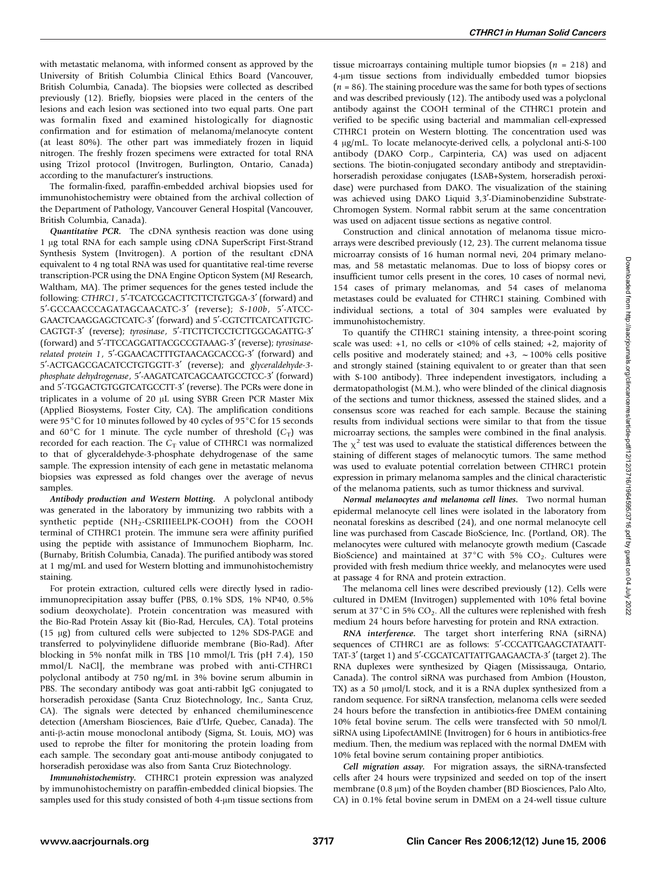with metastatic melanoma, with informed consent as approved by the University of British Columbia Clinical Ethics Board (Vancouver, British Columbia, Canada). The biopsies were collected as described previously (12). Briefly, biopsies were placed in the centers of the lesions and each lesion was sectioned into two equal parts. One part was formalin fixed and examined histologically for diagnostic confirmation and for estimation of melanoma/melanocyte content (at least 80%). The other part was immediately frozen in liquid nitrogen. The freshly frozen specimens were extracted for total RNA using Trizol protocol (Invitrogen, Burlington, Ontario, Canada) according to the manufacturer's instructions.

The formalin-fixed, paraffin-embedded archival biopsies used for immunohistochemistry were obtained from the archival collection of the Department of Pathology, Vancouver General Hospital (Vancouver, British Columbia, Canada).

Quantitative PCR. The cDNA synthesis reaction was done using 1 µg total RNA for each sample using cDNA SuperScript First-Strand Synthesis System (Invitrogen). A portion of the resultant cDNA equivalent to 4 ng total RNA was used for quantitative real-time reverse transcription-PCR using the DNA Engine Opticon System (MJ Research, Waltham, MA). The primer sequences for the genes tested include the following: CTHRC1, 5'-TCATCGCACTTCTTCTGTGGA-3' (forward) and 5'-GCCAACCCAGATAGCAACATC-3' (reverse); S-100b, 5'-ATCC-GAACTCAAGGAGCTCATC-3' (forward) and 5'-CGTCTTCATCATTGTC-CAGTGT-3' (reverse); tyrosinase, 5'-TTCTTCTCCTCTTGGCAGATTG-3' (forward) and 5'-TTCCAGGATTACGCCGTAAAG-3' (reverse); tyrosinaserelated protein 1, 5'-GGAACACTTTGTAACAGCACCG-3' (forward) and 5'-ACTGAGCGACATCCTGTGGTT-3' (reverse); and glyceraldehyde-3phosphate dehydrogenase, 5'-AAGATCATCAGCAATGCCTCC-3' (forward) and 5'-TGGACTGTGGTCATGCCTT-3' (reverse). The PCRs were done in triplicates in a volume of 20 µL using SYBR Green PCR Master Mix (Applied Biosystems, Foster City, CA). The amplification conditions were 95 $\degree$ C for 10 minutes followed by 40 cycles of 95 $\degree$ C for 15 seconds and 60 $\degree$ C for 1 minute. The cycle number of threshold (C<sub>T</sub>) was recorded for each reaction. The  $C_T$  value of CTHRC1 was normalized to that of glyceraldehyde-3-phosphate dehydrogenase of the same sample. The expression intensity of each gene in metastatic melanoma biopsies was expressed as fold changes over the average of nevus samples.

Antibody production and Western blotting. A polyclonal antibody was generated in the laboratory by immunizing two rabbits with a synthetic peptide (NH<sub>2</sub>-CSRIIIEELPK-COOH) from the COOH terminal of CTHRC1 protein. The immune sera were affinity purified using the peptide with assistance of Immunochem Biopharm, Inc. (Burnaby, British Columbia, Canada). The purified antibody was stored at 1 mg/mL and used for Western blotting and immunohistochemistry staining.

For protein extraction, cultured cells were directly lysed in radioimmunoprecipitation assay buffer (PBS, 0.1% SDS, 1% NP40, 0.5% sodium deoxycholate). Protein concentration was measured with the Bio-Rad Protein Assay kit (Bio-Rad, Hercules, CA). Total proteins (15 Ag) from cultured cells were subjected to 12% SDS-PAGE and transferred to polyvinylidene difluoride membrane (Bio-Rad). After blocking in 5% nonfat milk in TBS [10 mmol/L Tris (pH 7.4), 150 mmol/L NaCl], the membrane was probed with anti-CTHRC1 polyclonal antibody at 750 ng/mL in 3% bovine serum albumin in PBS. The secondary antibody was goat anti-rabbit IgG conjugated to horseradish peroxidase (Santa Cruz Biotechnology, Inc., Santa Cruz, CA). The signals were detected by enhanced chemiluminescence detection (Amersham Biosciences, Baie d'Urfe, Quebec, Canada). The anti- $\beta$ -actin mouse monoclonal antibody (Sigma, St. Louis, MO) was used to reprobe the filter for monitoring the protein loading from each sample. The secondary goat anti-mouse antibody conjugated to horseradish peroxidase was also from Santa Cruz Biotechnology.

Immunohistochemistry. CTHRC1 protein expression was analyzed by immunohistochemistry on paraffin-embedded clinical biopsies. The samples used for this study consisted of both 4-µm tissue sections from

tissue microarrays containing multiple tumor biopsies ( $n = 218$ ) and 4-um tissue sections from individually embedded tumor biopsies  $(n = 86)$ . The staining procedure was the same for both types of sections and was described previously (12). The antibody used was a polyclonal antibody against the COOH terminal of the CTHRC1 protein and verified to be specific using bacterial and mammalian cell-expressed CTHRC1 protein on Western blotting. The concentration used was 4 Ag/mL. To locate melanocyte-derived cells, a polyclonal anti-S-100 antibody (DAKO Corp., Carpinteria, CA) was used on adjacent sections. The biotin-conjugated secondary antibody and streptavidinhorseradish peroxidase conjugates (LSAB+System, horseradish peroxidase) were purchased from DAKO. The visualization of the staining was achieved using DAKO Liquid 3,3'-Diaminobenzidine Substrate-Chromogen System. Normal rabbit serum at the same concentration was used on adjacent tissue sections as negative control.

Construction and clinical annotation of melanoma tissue microarrays were described previously (12, 23). The current melanoma tissue microarray consists of 16 human normal nevi, 204 primary melanomas, and 58 metastatic melanomas. Due to loss of biopsy cores or insufficient tumor cells present in the cores, 10 cases of normal nevi, 154 cases of primary melanomas, and 54 cases of melanoma metastases could be evaluated for CTHRC1 staining. Combined with individual sections, a total of 304 samples were evaluated by immunohistochemistry.

To quantify the CTHRC1 staining intensity, a three-point scoring scale was used:  $+1$ , no cells or <10% of cells stained;  $+2$ , majority of cells positive and moderately stained; and  $+3$ ,  $\sim$  100% cells positive and strongly stained (staining equivalent to or greater than that seen with S-100 antibody). Three independent investigators, including a dermatopathologist (M.M.), who were blinded of the clinical diagnosis of the sections and tumor thickness, assessed the stained slides, and a consensus score was reached for each sample. Because the staining results from individual sections were similar to that from the tissue microarray sections, the samples were combined in the final analysis. The  $\chi^2$  test was used to evaluate the statistical differences between the staining of different stages of melanocytic tumors. The same method was used to evaluate potential correlation between CTHRC1 protein expression in primary melanoma samples and the clinical characteristic of the melanoma patients, such as tumor thickness and survival.

Normal melanocytes and melanoma cell lines. Two normal human epidermal melanocyte cell lines were isolated in the laboratory from neonatal foreskins as described (24), and one normal melanocyte cell line was purchased from Cascade BioScience, Inc. (Portland, OR). The melanocytes were cultured with melanocyte growth medium (Cascade BioScience) and maintained at  $37^{\circ}$ C with 5% CO<sub>2</sub>. Cultures were provided with fresh medium thrice weekly, and melanocytes were used at passage 4 for RNA and protein extraction.

The melanoma cell lines were described previously (12). Cells were cultured in DMEM (Invitrogen) supplemented with 10% fetal bovine serum at 37 $^{\circ}$ C in 5% CO<sub>2</sub>. All the cultures were replenished with fresh medium 24 hours before harvesting for protein and RNA extraction.

RNA interference. The target short interfering RNA (siRNA) sequences of CTHRC1 are as follows: 5'-CCCATTGAAGCTATAATT-TAT-3' (target 1) and 5'-CGCATCATTATTGAAGAACTA-3' (target 2). The RNA duplexes were synthesized by Qiagen (Mississauga, Ontario, Canada). The control siRNA was purchased from Ambion (Houston, TX) as a 50  $\mu$ mol/L stock, and it is a RNA duplex synthesized from a random sequence. For siRNA transfection, melanoma cells were seeded 24 hours before the transfection in antibiotics-free DMEM containing 10% fetal bovine serum. The cells were transfected with 50 nmol/L siRNA using LipofectAMINE (Invitrogen) for 6 hours in antibiotics-free medium. Then, the medium was replaced with the normal DMEM with 10% fetal bovine serum containing proper antibiotics.

Cell migration assay. For migration assays, the siRNA-transfected cells after 24 hours were trypsinized and seeded on top of the insert membrane  $(0.8 \,\mu\text{m})$  of the Boyden chamber (BD Biosciences, Palo Alto, CA) in 0.1% fetal bovine serum in DMEM on a 24-well tissue culture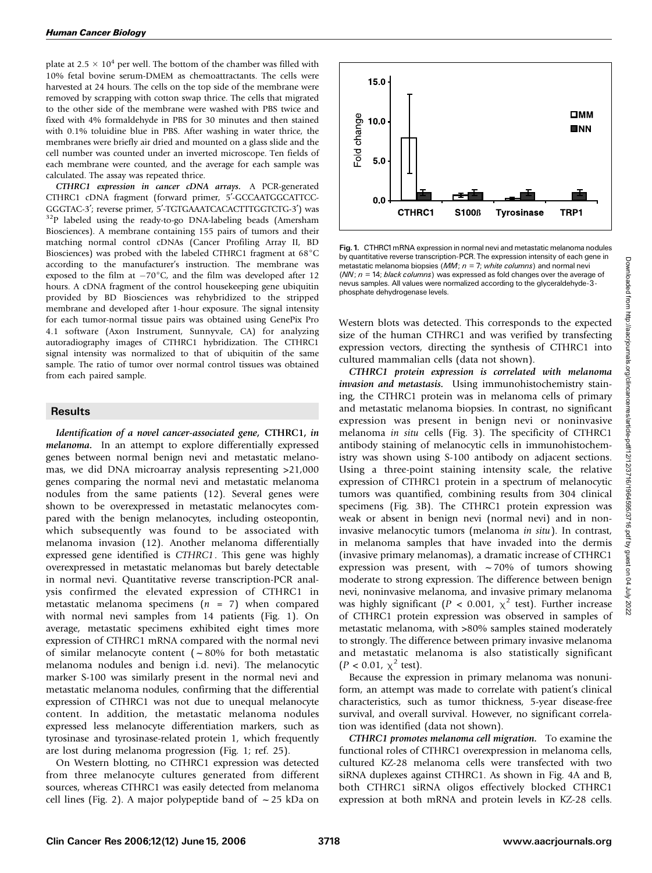plate at 2.5  $\times$  10<sup>4</sup> per well. The bottom of the chamber was filled with 10% fetal bovine serum-DMEM as chemoattractants. The cells were harvested at 24 hours. The cells on the top side of the membrane were removed by scrapping with cotton swap thrice. The cells that migrated to the other side of the membrane were washed with PBS twice and fixed with 4% formaldehyde in PBS for 30 minutes and then stained with 0.1% toluidine blue in PBS. After washing in water thrice, the membranes were briefly air dried and mounted on a glass slide and the cell number was counted under an inverted microscope. Ten fields of each membrane were counted, and the average for each sample was calculated. The assay was repeated thrice.

CTHRC1 expression in cancer cDNA arrays. A PCR-generated CTHRC1 cDNA fragment (forward primer, 5'-GCCAATGGCATTCC-GGGTAC-3<sup>'</sup>; reverse primer, 5<sup>'</sup>-TGTGAAATCACACTTTGGTCTG-3<sup>'</sup>) was <sup>32</sup>P labeled using the ready-to-go DNA-labeling beads (Amersham Biosciences). A membrane containing 155 pairs of tumors and their matching normal control cDNAs (Cancer Profiling Array II, BD Biosciences) was probed with the labeled CTHRC1 fragment at  $68^{\circ}$ C according to the manufacturer's instruction. The membrane was exposed to the film at  $-70^{\circ}$ C, and the film was developed after 12 hours. A cDNA fragment of the control housekeeping gene ubiquitin provided by BD Biosciences was rehybridized to the stripped membrane and developed after 1-hour exposure. The signal intensity for each tumor-normal tissue pairs was obtained using GenePix Pro 4.1 software (Axon Instrument, Sunnyvale, CA) for analyzing autoradiography images of CTHRC1 hybridization. The CTHRC1 signal intensity was normalized to that of ubiquitin of the same sample. The ratio of tumor over normal control tissues was obtained from each paired sample.

## **Results**

Identification of a novel cancer-associated gene, CTHRC1, in melanoma. In an attempt to explore differentially expressed genes between normal benign nevi and metastatic melanomas, we did DNA microarray analysis representing >21,000 genes comparing the normal nevi and metastatic melanoma nodules from the same patients (12). Several genes were shown to be overexpressed in metastatic melanocytes compared with the benign melanocytes, including osteopontin, which subsequently was found to be associated with melanoma invasion (12). Another melanoma differentially expressed gene identified is CTHRC1. This gene was highly overexpressed in metastatic melanomas but barely detectable in normal nevi. Quantitative reverse transcription-PCR analysis confirmed the elevated expression of CTHRC1 in metastatic melanoma specimens  $(n = 7)$  when compared with normal nevi samples from 14 patients (Fig. 1). On average, metastatic specimens exhibited eight times more expression of CTHRC1 mRNA compared with the normal nevi of similar melanocyte content ( $\sim 80\%$  for both metastatic melanoma nodules and benign i.d. nevi). The melanocytic marker S-100 was similarly present in the normal nevi and metastatic melanoma nodules, confirming that the differential expression of CTHRC1 was not due to unequal melanocyte content. In addition, the metastatic melanoma nodules expressed less melanocyte differentiation markers, such as tyrosinase and tyrosinase-related protein 1, which frequently are lost during melanoma progression (Fig. 1; ref. 25).

On Western blotting, no CTHRC1 expression was detected from three melanocyte cultures generated from different sources, whereas CTHRC1 was easily detected from melanoma cell lines (Fig. 2). A major polypeptide band of  $\sim$  25 kDa on



Fig. 1. CTHRC1mRNA expression in normal nevi and metastatic melanoma nodules by quantitative reverse transcription-PCR. The expression intensity of each gene in metastatic melanoma biopsies ( $MM$ ;  $n = 7$ ; white columns) and normal nevi  $(NN; n = 14; black columns)$  was expressed as fold changes over the average of nevus samples. All values were normalized according to the glyceraldehyde-3 phosphate dehydrogenase levels.

Western blots was detected. This corresponds to the expected size of the human CTHRC1 and was verified by transfecting expression vectors, directing the synthesis of CTHRC1 into cultured mammalian cells (data not shown).

CTHRC1 protein expression is correlated with melanoma invasion and metastasis. Using immunohistochemistry staining, the CTHRC1 protein was in melanoma cells of primary and metastatic melanoma biopsies. In contrast, no significant expression was present in benign nevi or noninvasive melanoma in situ cells (Fig. 3). The specificity of CTHRC1 antibody staining of melanocytic cells in immunohistochemistry was shown using S-100 antibody on adjacent sections. Using a three-point staining intensity scale, the relative expression of CTHRC1 protein in a spectrum of melanocytic tumors was quantified, combining results from 304 clinical specimens (Fig. 3B). The CTHRC1 protein expression was weak or absent in benign nevi (normal nevi) and in noninvasive melanocytic tumors (melanoma in situ). In contrast, in melanoma samples that have invaded into the dermis (invasive primary melanomas), a dramatic increase of CTHRC1 expression was present, with  $\sim$  70% of tumors showing moderate to strong expression. The difference between benign nevi, noninvasive melanoma, and invasive primary melanoma was highly significant ( $P < 0.001$ ,  $\chi^2$  test). Further increase of CTHRC1 protein expression was observed in samples of metastatic melanoma, with >80% samples stained moderately to strongly. The difference between primary invasive melanoma and metastatic melanoma is also statistically significant  $(P < 0.01, \chi^2 \text{ test}).$ 

Because the expression in primary melanoma was nonuniform, an attempt was made to correlate with patient's clinical characteristics, such as tumor thickness, 5-year disease-free survival, and overall survival. However, no significant correlation was identified (data not shown).

CTHRC1 promotes melanoma cell migration. To examine the functional roles of CTHRC1 overexpression in melanoma cells, cultured KZ-28 melanoma cells were transfected with two siRNA duplexes against CTHRC1. As shown in Fig. 4A and B, both CTHRC1 siRNA oligos effectively blocked CTHRC1 expression at both mRNA and protein levels in KZ-28 cells.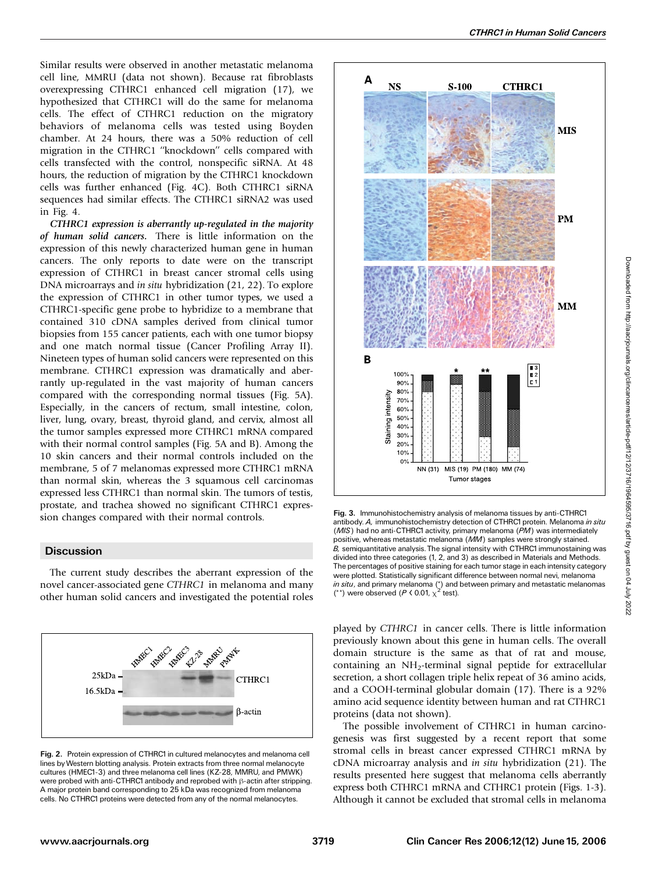Similar results were observed in another metastatic melanoma cell line, MMRU (data not shown). Because rat fibroblasts overexpressing CTHRC1 enhanced cell migration (17), we hypothesized that CTHRC1 will do the same for melanoma cells. The effect of CTHRC1 reduction on the migratory behaviors of melanoma cells was tested using Boyden chamber. At 24 hours, there was a 50% reduction of cell migration in the CTHRC1 ''knockdown'' cells compared with cells transfected with the control, nonspecific siRNA. At 48 hours, the reduction of migration by the CTHRC1 knockdown cells was further enhanced (Fig. 4C). Both CTHRC1 siRNA sequences had similar effects. The CTHRC1 siRNA2 was used in Fig. 4.

CTHRC1 expression is aberrantly up-regulated in the majority of human solid cancers. There is little information on the expression of this newly characterized human gene in human cancers. The only reports to date were on the transcript expression of CTHRC1 in breast cancer stromal cells using DNA microarrays and in situ hybridization (21, 22). To explore the expression of CTHRC1 in other tumor types, we used a CTHRC1-specific gene probe to hybridize to a membrane that contained 310 cDNA samples derived from clinical tumor biopsies from 155 cancer patients, each with one tumor biopsy and one match normal tissue (Cancer Profiling Array II). Nineteen types of human solid cancers were represented on this membrane. CTHRC1 expression was dramatically and aberrantly up-regulated in the vast majority of human cancers compared with the corresponding normal tissues (Fig. 5A). Especially, in the cancers of rectum, small intestine, colon, liver, lung, ovary, breast, thyroid gland, and cervix, almost all the tumor samples expressed more CTHRC1 mRNA compared with their normal control samples (Fig. 5A and B). Among the 10 skin cancers and their normal controls included on the membrane, 5 of 7 melanomas expressed more CTHRC1 mRNA than normal skin, whereas the 3 squamous cell carcinomas expressed less CTHRC1 than normal skin. The tumors of testis, prostate, and trachea showed no significant CTHRC1 expression changes compared with their normal controls.

### **Discussion**

The current study describes the aberrant expression of the novel cancer-associated gene CTHRC1 in melanoma and many other human solid cancers and investigated the potential roles



Fig. 2. Protein expression of CTHRC1 in cultured melanocytes and melanoma cell lines byWestern blotting analysis. Protein extracts from three normal melanocyte cultures (HMEC1-3) and three melanoma cell lines (KZ-28, MMRU, and PMWK) were probed with anti-CTHRC1 antibody and reprobed with  $\beta$ -actin after stripping. A major protein band corresponding to 25 kDa was recognized from melanoma cells. No CTHRC1 proteins were detected from any of the normal melanocytes.



Fig. 3. Immunohistochemistry analysis of melanoma tissues by anti-CTHRC1 antibody. A, immunohistochemistry detection of CTHRC1 protein. Melanoma in situ (MIS) had no anti-CTHRC1 activity, primary melanoma (PM) was intermediately positive, whereas metastatic melanoma (MM) samples were strongly stained.  $B$ , semiquantitative analysis. The signal intensity with CTHRC1 immunostaining was divided into three categories (1, 2, and 3) as described in Materials and Methods. The percentages of positive staining for each tumor stage in each intensity category were plotted. Statistically significant difference between normal nevi, melanoma *in situ*, and primary melanoma (\*) and between primary and metastatic melanomas (\*\*) were observed ( $P \lt 0.01$ ,  $\chi^2$  test).

played by CTHRC1 in cancer cells. There is little information previously known about this gene in human cells. The overall domain structure is the same as that of rat and mouse, containing an  $NH<sub>2</sub>$ -terminal signal peptide for extracellular secretion, a short collagen triple helix repeat of 36 amino acids, and a COOH-terminal globular domain (17). There is a 92% amino acid sequence identity between human and rat CTHRC1 proteins (data not shown).

The possible involvement of CTHRC1 in human carcinogenesis was first suggested by a recent report that some stromal cells in breast cancer expressed CTHRC1 mRNA by cDNA microarray analysis and in situ hybridization (21). The results presented here suggest that melanoma cells aberrantly express both CTHRC1 mRNA and CTHRC1 protein (Figs. 1-3). Although it cannot be excluded that stromal cells in melanoma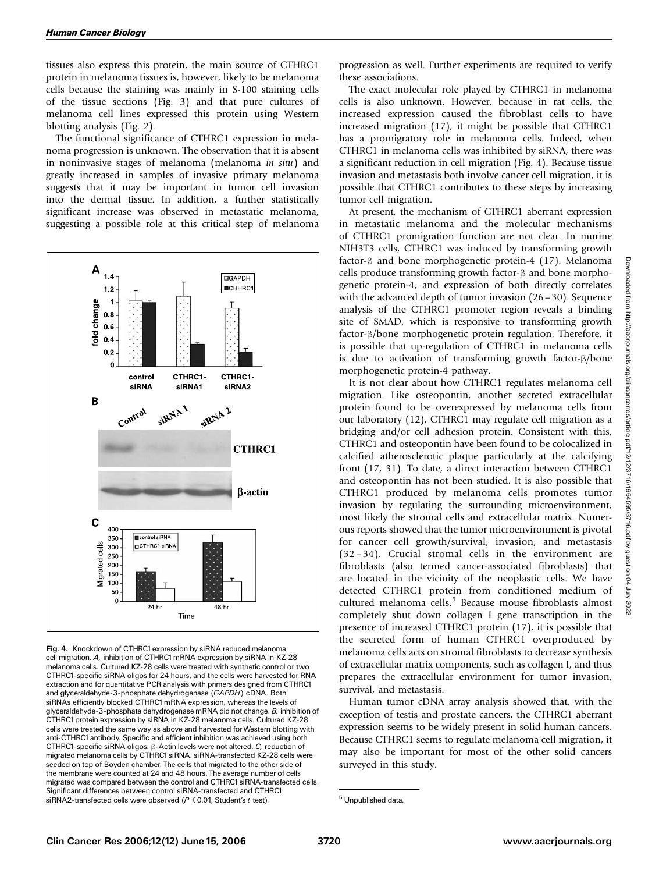tissues also express this protein, the main source of CTHRC1 protein in melanoma tissues is, however, likely to be melanoma cells because the staining was mainly in S-100 staining cells of the tissue sections (Fig. 3) and that pure cultures of melanoma cell lines expressed this protein using Western blotting analysis (Fig. 2).

The functional significance of CTHRC1 expression in melanoma progression is unknown. The observation that it is absent in noninvasive stages of melanoma (melanoma in situ) and greatly increased in samples of invasive primary melanoma suggests that it may be important in tumor cell invasion into the dermal tissue. In addition, a further statistically significant increase was observed in metastatic melanoma, suggesting a possible role at this critical step of melanoma



Fig. 4. Knockdown of CTHRC1 expression by siRNA reduced melanoma cell migration. A, inhibition of CTHRC1mRNA expression by siRNA in KZ-28 melanoma cells. Cultured KZ-28 cells were treated with synthetic control or two CTHRC1-specific siRNA oligos for 24 hours, and the cells were harvested for RNA extraction and for quantitative PCR analysis with primers designed from CTHRC1 and glyceraldehyde-3-phosphate dehydrogenase (GAPDH) cDNA. Both siRNAs efficiently blocked CTHRC1mRNA expression, whereas the levels of glyceraldehyde-3-phosphate dehydrogenase mRNA did not change. B, inhibition of CTHRC1 protein expression by siRNA in KZ-28 melanoma cells. Cultured KZ-28 cells were treated the same way as above and harvested forWestern blotting with anti-CTHRC1antibody. Specific and efficient inhibition was achieved using both CTHRC1-specific siRNA oligos.  $\beta$ -Actin levels were not altered. C, reduction of migrated melanoma cells by CTHRC1 siRNA. siRNA-transfected KZ-28 cells were seeded on top of Boyden chamber. The cells that migrated to the other side of the membrane were counted at 24 and 48 hours. The average number of cells migrated was compared between the control and CTHRC1siRNA-transfected cells. Significant differences between control siRNA-transfected and CTHRC1 siRNA2-transfected cells were observed ( $P \triangleleft 0.01$ , Student's t test). <sup>5</sup> Unpublished data.

progression as well. Further experiments are required to verify these associations.

The exact molecular role played by CTHRC1 in melanoma cells is also unknown. However, because in rat cells, the increased expression caused the fibroblast cells to have increased migration (17), it might be possible that CTHRC1 has a promigratory role in melanoma cells. Indeed, when CTHRC1 in melanoma cells was inhibited by siRNA, there was a significant reduction in cell migration (Fig. 4). Because tissue invasion and metastasis both involve cancer cell migration, it is possible that CTHRC1 contributes to these steps by increasing tumor cell migration.

At present, the mechanism of CTHRC1 aberrant expression in metastatic melanoma and the molecular mechanisms of CTHRC1 promigration function are not clear. In murine NIH3T3 cells, CTHRC1 was induced by transforming growth factor- $\beta$  and bone morphogenetic protein-4 (17). Melanoma cells produce transforming growth factor- $\beta$  and bone morphogenetic protein-4, and expression of both directly correlates with the advanced depth of tumor invasion (26 – 30). Sequence analysis of the CTHRC1 promoter region reveals a binding site of SMAD, which is responsive to transforming growth  $factor-\beta/b$ one morphogenetic protein regulation. Therefore, it is possible that up-regulation of CTHRC1 in melanoma cells is due to activation of transforming growth factor- $\beta/b$ one morphogenetic protein-4 pathway.

It is not clear about how CTHRC1 regulates melanoma cell migration. Like osteopontin, another secreted extracellular protein found to be overexpressed by melanoma cells from our laboratory (12), CTHRC1 may regulate cell migration as a bridging and/or cell adhesion protein. Consistent with this, CTHRC1 and osteopontin have been found to be colocalized in calcified atherosclerotic plaque particularly at the calcifying front (17, 31). To date, a direct interaction between CTHRC1 and osteopontin has not been studied. It is also possible that CTHRC1 produced by melanoma cells promotes tumor invasion by regulating the surrounding microenvironment, most likely the stromal cells and extracellular matrix. Numerous reports showed that the tumor microenvironment is pivotal for cancer cell growth/survival, invasion, and metastasis (32 – 34). Crucial stromal cells in the environment are fibroblasts (also termed cancer-associated fibroblasts) that are located in the vicinity of the neoplastic cells. We have detected CTHRC1 protein from conditioned medium of cultured melanoma cells.<sup>5</sup> Because mouse fibroblasts almost completely shut down collagen I gene transcription in the presence of increased CTHRC1 protein (17), it is possible that the secreted form of human CTHRC1 overproduced by melanoma cells acts on stromal fibroblasts to decrease synthesis of extracellular matrix components, such as collagen I, and thus prepares the extracellular environment for tumor invasion, survival, and metastasis.

Human tumor cDNA array analysis showed that, with the exception of testis and prostate cancers, the CTHRC1 aberrant expression seems to be widely present in solid human cancers. Because CTHRC1 seems to regulate melanoma cell migration, it may also be important for most of the other solid cancers surveyed in this study.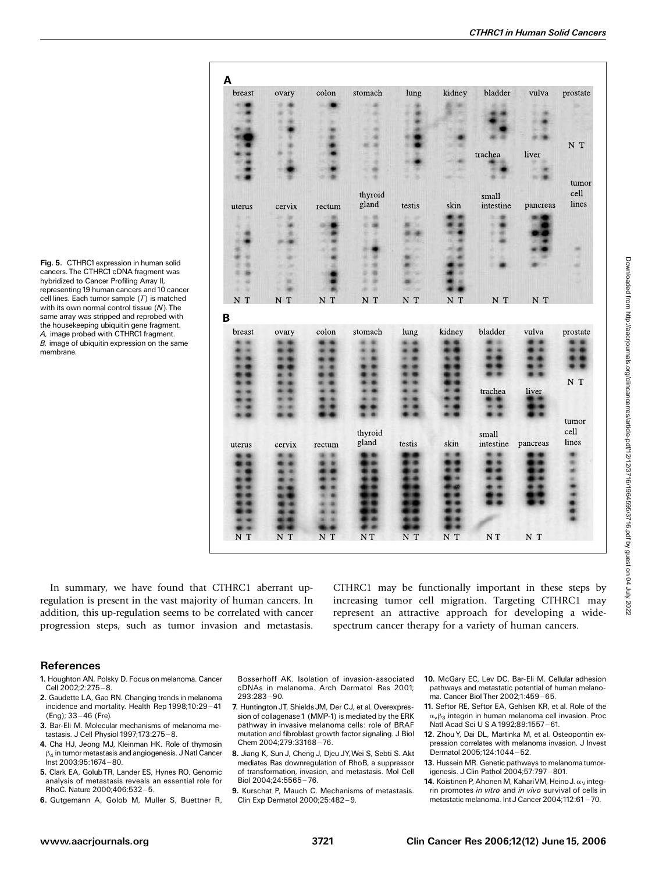Fig. 5. CTHRC1 expression in human solid cancers. The CTHRC1 cDNA fragment was hybridized to Cancer Profiling Array II, representing 19 human cancers and10 cancer cell lines. Each tumor sample (T) is matched with its own normal control tissue (N). The same array was stripped and reprobed with the housekeeping ubiquitin gene fragment. A, image probed with CTHRC1 fragment. B, image of ubiquitin expression on the same membrane.

In summary, we have found that CTHRC1 aberrant upregulation is present in the vast majority of human cancers. In addition, this up-regulation seems to be correlated with cancer progression steps, such as tumor invasion and metastasis.

Α

B

CTHRC1 may be functionally important in these steps by increasing tumor cell migration. Targeting CTHRC1 may represent an attractive approach for developing a widespectrum cancer therapy for a variety of human cancers.

## References

- 1. Houghton AN, Polsky D. Focus on melanoma. Cancer Cell  $2002:2:275 - 8.$
- 2. Gaudette LA, Gao RN. Changing trends in melanoma incidence and mortality. Health Rep 1998;10:29-41 (Eng): 33-46 (Fre).
- 3. Bar-Eli M. Molecular mechanisms of melanoma metastasis. J Cell Physiol 1997;173:275-8.
- 4. Cha HJ, Jeong MJ, Kleinman HK. Role of thymosin  $\beta_4$  in tumor metastasis and angiogenesis. J Natl Cancer Inst 2003;95:1674 ^ 80.
- 5. Clark EA, GolubTR, Lander ES, Hynes RO. Genomic analysis of metastasis reveals an essential role for RhoC. Nature 2000;406:532-5.
- 6. Gutgemann A, Golob M, Muller S, Buettner R,

Bosserhoff AK. Isolation of invasion-associated cDNAs in melanoma. Arch Dermatol Res 2001;  $293:283 - 90.$ 

- 7. Huntington JT, Shields JM, Der CJ, et al. Overexpression of collagenase 1 (MMP-1) is mediated by the ERK pathway in invasive melanoma cells: role of BRAF mutation and fibroblast growth factor signaling. J Biol Chem 2004;279:33168-76.
- 8. Jiang K, Sun J, Cheng J, Djeu JY,Wei S, Sebti S. Akt mediates Ras downregulation of RhoB, a suppressor of transformation, invasion, and metastasis. Mol Cell Biol 2004;24:5565 ^ 76.
- 9. Kurschat P, Mauch C. Mechanisms of metastasis. Clin Exp Dermatol 2000;25:482-9.
- 10. McGary EC, Lev DC, Bar-Eli M. Cellular adhesion pathways and metastatic potential of human melanoma. Cancer Biol Ther 2002:1:459-65.
- 11. Seftor RE, Seftor EA, Gehlsen KR, et al. Role of the  $\alpha_{\nu}\beta_3$  integrin in human melanoma cell invasion. Proc Natl Acad Sci U S A 1992;89:1557-61.
- 12. Zhou Y, Dai DL, Martinka M, et al. Osteopontin expression correlates with melanoma invasion. J Invest Dermatol 2005:124:1044-52.
- 13. Hussein MR. Genetic pathways to melanoma tumorigenesis. J Clin Pathol 2004;57:797-801.
- 14. Koistinen P, Ahonen M, KahariVM, HeinoJ.  $\alpha_V$ integrin promotes in vitro and in vivo survival of cells in metastatic melanoma. Int J Cancer 2004;112:61 - 70.

| breast | ovary  | colon  | stomach | lung   | kidney | bladder   | vulva    | prostate       |
|--------|--------|--------|---------|--------|--------|-----------|----------|----------------|
|        |        |        |         |        |        |           |          |                |
|        |        |        |         |        |        |           |          |                |
|        |        |        |         |        |        |           |          |                |
|        |        |        |         |        |        |           |          |                |
|        |        |        |         |        |        | trachea   | liver    | $\mathbf{N}$ T |
|        |        |        |         |        |        |           |          |                |
|        |        |        |         |        |        |           |          |                |
|        |        |        |         |        |        |           |          | tumor          |
|        |        |        | thyroid |        |        | small     |          | cell           |
| iterus | cervix | rectum | gland   | testis | skin   | intestine | pancreas | lines          |
|        |        |        |         |        |        |           |          |                |
|        |        |        | ë       | ×      |        |           |          |                |
|        |        |        |         |        |        |           |          |                |
|        |        |        |         |        |        |           |          |                |
|        |        |        |         |        |        |           |          |                |
|        |        |        |         |        |        |           |          |                |
|        | и      |        |         |        |        |           |          |                |
|        |        |        |         |        |        |           |          |                |
| N T    | N T    | $N$ T  | N T     | N T    | N T    | N T       | N T      |                |
|        |        |        |         |        |        |           |          |                |
| breast | ovary  | colon  | stomach | lung   | kidney | bladder   | vulva    | prostate       |
|        |        |        |         |        |        |           |          |                |
|        |        |        |         |        |        |           |          |                |
|        |        |        |         |        |        |           |          |                |
|        |        |        |         |        |        |           |          |                |
|        |        |        |         |        |        |           |          | $N$ T          |
|        |        |        |         |        |        | trachea   | liver    |                |
|        |        |        |         |        |        |           |          |                |
|        |        |        |         |        |        |           |          | tumor          |
|        |        |        | thyroid |        |        | small     |          | cell           |
| terus  | cervix | rectum | gland   | testis | skin   | intestine | pancreas | lines          |
|        |        |        |         |        |        |           |          |                |
|        |        |        |         |        |        |           |          |                |
|        |        |        |         |        |        |           |          |                |
|        |        |        |         |        |        |           |          |                |
|        |        |        |         |        |        |           |          |                |
|        |        |        |         |        |        |           |          |                |
|        |        |        |         |        |        |           |          |                |